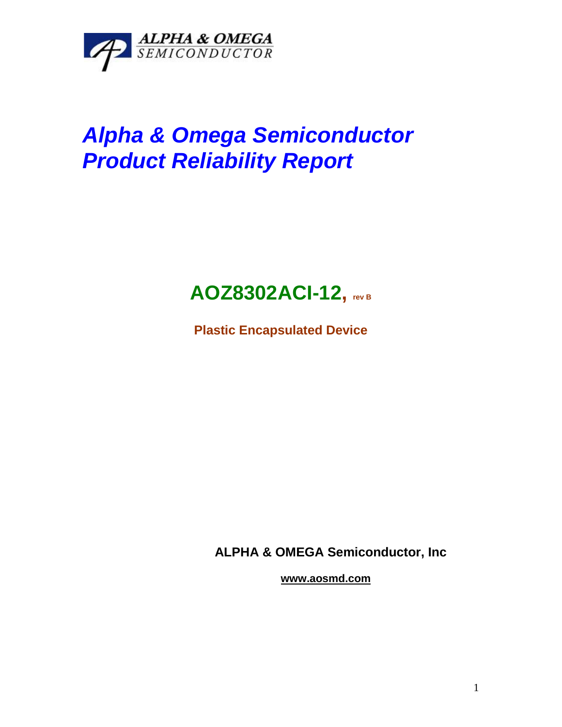

## *Alpha & Omega Semiconductor Product Reliability Report*



**Plastic Encapsulated Device**

**ALPHA & OMEGA Semiconductor, Inc**

**www.aosmd.com**